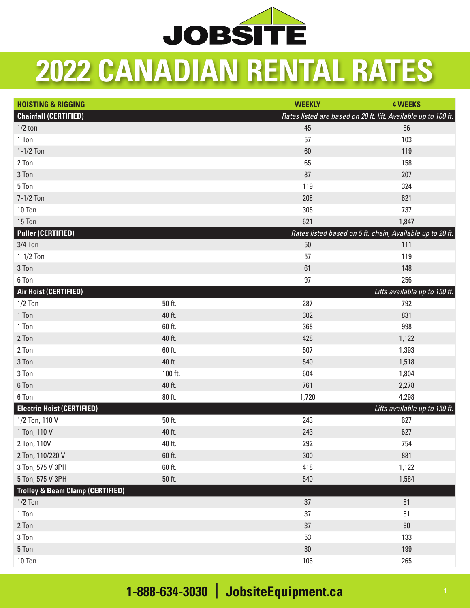

## **2022 CANADIAN RENTAL RATES**

| <b>HOISTING &amp; RIGGING</b>               |         | <b>WEEKLY</b>                                                  | <b>4 WEEKS</b>                                            |
|---------------------------------------------|---------|----------------------------------------------------------------|-----------------------------------------------------------|
| <b>Chainfall (CERTIFIED)</b>                |         | Rates listed are based on 20 ft. lift. Available up to 100 ft. |                                                           |
| $1/2$ ton                                   |         | 45                                                             | 86                                                        |
| 1 Ton                                       |         | 57                                                             | 103                                                       |
| $1-1/2$ Ton                                 |         | 60                                                             | 119                                                       |
| 2 Ton                                       |         | 65                                                             | 158                                                       |
| 3 Ton                                       |         | 87                                                             | 207                                                       |
| 5 Ton                                       |         | 119                                                            | 324                                                       |
| 7-1/2 Ton                                   |         | 208                                                            | 621                                                       |
| 10 Ton                                      |         | 305                                                            | 737                                                       |
| 15 Ton                                      |         | 621                                                            | 1,847                                                     |
| <b>Puller (CERTIFIED)</b>                   |         |                                                                | Rates listed based on 5 ft. chain, Available up to 20 ft. |
| $3/4$ Ton                                   |         | $50\,$                                                         | 111                                                       |
| $1-1/2$ Ton                                 |         | 57                                                             | 119                                                       |
| 3 Ton                                       |         | 61                                                             | 148                                                       |
| 6 Ton                                       |         | 97                                                             | 256                                                       |
| Air Hoist (CERTIFIED)                       |         |                                                                | Lifts available up to 150 ft.                             |
| $1/2$ Ton                                   | 50 ft.  | 287                                                            | 792                                                       |
| 1 Ton                                       | 40 ft.  | 302                                                            | 831                                                       |
| 1 Ton                                       | 60 ft.  | 368                                                            | 998                                                       |
| 2 Ton                                       | 40 ft.  | 428                                                            | 1,122                                                     |
| 2 Ton                                       | 60 ft.  | 507                                                            | 1,393                                                     |
| 3 Ton                                       | 40 ft.  | 540                                                            | 1,518                                                     |
| 3 Ton                                       | 100 ft. | 604                                                            | 1,804                                                     |
| 6 Ton                                       | 40 ft.  | 761                                                            | 2,278                                                     |
| 6 Ton                                       | 80 ft.  | 1,720                                                          | 4,298                                                     |
| <b>Electric Hoist (CERTIFIED)</b>           |         |                                                                | Lifts available up to 150 ft.                             |
| 1/2 Ton, 110 V                              | 50 ft.  | 243                                                            | 627                                                       |
| 1 Ton, 110 V                                | 40 ft.  | 243                                                            | 627                                                       |
| 2 Ton, 110V                                 | 40 ft.  | 292                                                            | 754                                                       |
| 2 Ton, 110/220 V                            | 60 ft.  | 300                                                            | 881                                                       |
| 3 Ton, 575 V 3PH                            | 60 ft.  | 418                                                            | 1,122                                                     |
| 5 Ton, 575 V 3PH                            | 50 ft.  | 540                                                            | 1,584                                                     |
| <b>Trolley &amp; Beam Clamp (CERTIFIED)</b> |         |                                                                |                                                           |
| $1/2$ Ton                                   |         | 37                                                             | 81                                                        |
| 1 Ton                                       |         | 37                                                             | 81                                                        |
| 2 Ton                                       |         | 37                                                             | 90                                                        |
| 3 Ton                                       |         | 53                                                             | 133                                                       |
| 5 Ton                                       |         | $80\,$                                                         | 199                                                       |
| 10 Ton                                      |         | 106                                                            | 265                                                       |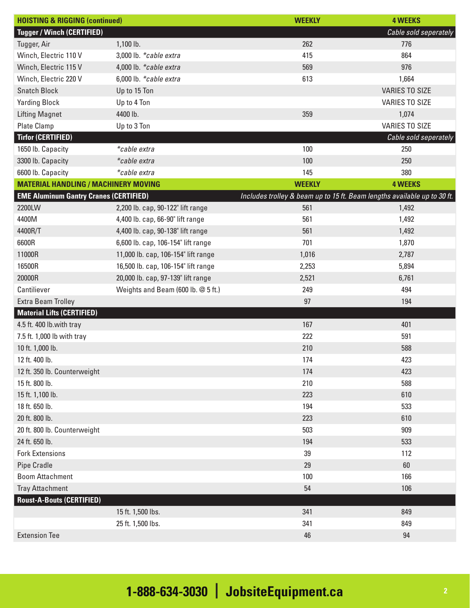| <b>HOISTING &amp; RIGGING (continued)</b>     |                                     | <b>WEEKLY</b>                                                            | <b>4 WEEKS</b>        |
|-----------------------------------------------|-------------------------------------|--------------------------------------------------------------------------|-----------------------|
| <b>Tugger / Winch (CERTIFIED)</b>             |                                     |                                                                          | Cable sold seperately |
| Tugger, Air                                   | 1,100 lb.                           | 262                                                                      | 776                   |
| Winch, Electric 110 V                         | 3,000 lb. *cable extra              | 415                                                                      | 864                   |
| Winch, Electric 115 V                         | 4,000 lb. *cable extra              | 569                                                                      | 976                   |
| Winch, Electric 220 V                         | 6,000 lb. *cable extra              | 613                                                                      | 1,664                 |
| <b>Snatch Block</b>                           | Up to 15 Ton                        |                                                                          | <b>VARIES TO SIZE</b> |
| <b>Yarding Block</b>                          | Up to 4 Ton                         |                                                                          | <b>VARIES TO SIZE</b> |
| <b>Lifting Magnet</b>                         | 4400 lb.                            | 359                                                                      | 1,074                 |
| <b>Plate Clamp</b>                            | Up to 3 Ton                         |                                                                          | <b>VARIES TO SIZE</b> |
| <b>Tirfor (CERTIFIED)</b>                     |                                     |                                                                          | Cable sold seperately |
| 1650 lb. Capacity                             | *cable extra                        | 100                                                                      | 250                   |
| 3300 lb. Capacity                             | *cable extra                        | 100                                                                      | 250                   |
| 6600 lb. Capacity                             | *cable extra                        | 145                                                                      | 380                   |
| <b>MATERIAL HANDLING / MACHINERY MOVING</b>   |                                     | <b>WEEKLY</b>                                                            | <b>4 WEEKS</b>        |
| <b>EME Aluminum Gantry Cranes (CERTIFIED)</b> |                                     | Includes trolley & beam up to 15 ft. Beam lengths available up to 30 ft. |                       |
| 2200LW                                        | 2,200 lb. cap, 90-122" lift range   | 561                                                                      | 1,492                 |
| 4400M                                         | 4,400 lb. cap, 66-90" lift range    | 561                                                                      | 1,492                 |
| 4400R/T                                       | 4,400 lb. cap, 90-138" lift range   | 561                                                                      | 1,492                 |
| 6600R                                         | 6,600 lb. cap, 106-154" lift range  | 701                                                                      | 1,870                 |
| 11000R                                        | 11,000 lb. cap, 106-154" lift range | 1,016                                                                    | 2,787                 |
| 16500R                                        | 16,500 lb. cap, 106-154" lift range | 2,253                                                                    | 5,894                 |
| 20000R                                        | 20,000 lb. cap, 97-139" lift range  | 2,521                                                                    | 6,761                 |
| Cantiliever                                   | Weights and Beam (600 lb. @ 5 ft.)  | 249                                                                      | 494                   |
| <b>Extra Beam Trolley</b>                     |                                     | 97                                                                       | 194                   |
| <b>Material Lifts (CERTIFIED)</b>             |                                     |                                                                          |                       |
| 4.5 ft. 400 lb.with tray                      |                                     | 167                                                                      | 401                   |
| 7.5 ft. 1,000 lb with tray                    |                                     | 222                                                                      | 591                   |
| 10 ft. 1,000 lb.                              |                                     | 210                                                                      | 588                   |
| 12 ft. 400 lb.                                |                                     | 174                                                                      | 423                   |
| 12 ft. 350 lb. Counterweight                  |                                     | 174                                                                      | 423                   |
| 15 ft. 800 lb.                                |                                     | 210                                                                      | 588                   |
| 15 ft. 1,100 lb.                              |                                     | 223                                                                      | 610                   |
| 18 ft. 650 lb.                                |                                     | 194                                                                      | 533                   |
| 20 ft. 800 lb.                                |                                     | 223                                                                      | 610                   |
| 20 ft. 800 lb. Counterweight                  |                                     | 503                                                                      | 909                   |
| 24 ft. 650 lb.                                |                                     | 194                                                                      | 533                   |
| <b>Fork Extensions</b>                        |                                     | 39                                                                       | 112                   |
| <b>Pipe Cradle</b>                            |                                     | 29                                                                       | 60                    |
| <b>Boom Attachment</b>                        |                                     | 100                                                                      | 166                   |
| <b>Tray Attachment</b>                        |                                     | 54                                                                       | 106                   |
| <b>Roust-A-Bouts (CERTIFIED)</b>              |                                     |                                                                          |                       |
|                                               | 15 ft. 1,500 lbs.                   | 341                                                                      | 849                   |
|                                               | 25 ft. 1,500 lbs.                   | 341                                                                      | 849                   |
| <b>Extension Tee</b>                          |                                     | 46                                                                       | 94                    |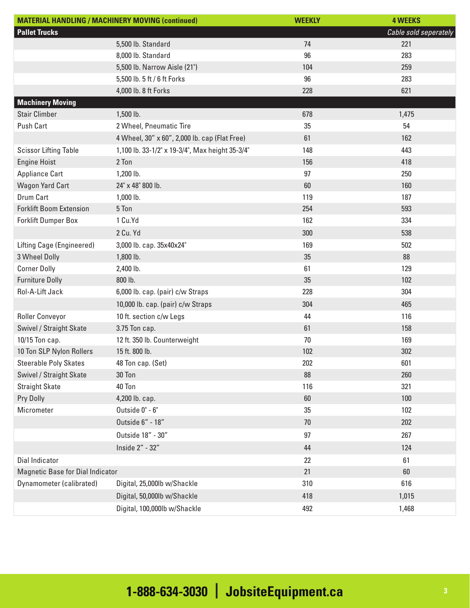| <b>MATERIAL HANDLING / MACHINERY MOVING (continued)</b> |                                                 | <b>WEEKLY</b> | <b>4 WEEKS</b>        |
|---------------------------------------------------------|-------------------------------------------------|---------------|-----------------------|
| <b>Pallet Trucks</b>                                    |                                                 |               | Cable sold seperately |
|                                                         | 5,500 lb. Standard                              | 74            | 221                   |
|                                                         | 8,000 lb. Standard                              | 96            | 283                   |
|                                                         | 5,500 lb. Narrow Aisle (21")                    | 104           | 259                   |
|                                                         | 5,500 lb. 5 ft / 6 ft Forks                     | 96            | 283                   |
|                                                         | 4,000 lb. 8 ft Forks                            | 228           | 621                   |
| <b>Machinery Moving</b>                                 |                                                 |               |                       |
| <b>Stair Climber</b>                                    | 1,500 lb.                                       | 678           | 1,475                 |
| <b>Push Cart</b>                                        | 2 Wheel, Pneumatic Tire                         | 35            | 54                    |
|                                                         | 4 Wheel, 30" x 60", 2,000 lb. cap (Flat Free)   | 61            | 162                   |
| <b>Scissor Lifting Table</b>                            | 1,100 lb. 33-1/2" x 19-3/4", Max height 35-3/4" | 148           | 443                   |
| <b>Engine Hoist</b>                                     | 2 Ton                                           | 156           | 418                   |
| <b>Appliance Cart</b>                                   | 1,200 lb.                                       | 97            | 250                   |
| <b>Wagon Yard Cart</b>                                  | 24" x 48" 800 lb.                               | 60            | 160                   |
| Drum Cart                                               | $1,000$ lb.                                     | 119           | 187                   |
| <b>Forklift Boom Extension</b>                          | 5 Ton                                           | 254           | 593                   |
| <b>Forklift Dumper Box</b>                              | 1 Cu.Yd                                         | 162           | 334                   |
|                                                         | 2 Cu. Yd                                        | 300           | 538                   |
| Lifting Cage (Engineered)                               | 3,000 lb. cap. 35x40x24"                        | 169           | 502                   |
| 3 Wheel Dolly                                           | 1,800 lb.                                       | 35            | 88                    |
| <b>Corner Dolly</b>                                     | 2,400 lb.                                       | 61            | 129                   |
| <b>Furniture Dolly</b>                                  | 800 lb.                                         | 35            | 102                   |
| Rol-A-Lift Jack                                         | 6,000 lb. cap. (pair) c/w Straps                | 228           | 304                   |
|                                                         | 10,000 lb. cap. (pair) c/w Straps               | 304           | 465                   |
| <b>Roller Conveyor</b>                                  | 10 ft. section c/w Legs                         | 44            | 116                   |
| Swivel / Straight Skate                                 | 3.75 Ton cap.                                   | 61            | 158                   |
| 10/15 Ton cap.                                          | 12 ft. 350 lb. Counterweight                    | 70            | 169                   |
| 10 Ton SLP Nylon Rollers                                | 15 ft. 800 lb.                                  | 102           | 302                   |
| <b>Steerable Poly Skates</b>                            | 48 Ton cap. (Set)                               | 202           | 601                   |
| Swivel / Straight Skate                                 | 30 Ton                                          | 88            | 260                   |
| <b>Straight Skate</b>                                   | 40 Ton                                          | 116           | 321                   |
| Pry Dolly                                               | 4,200 lb. cap.                                  | 60            | 100                   |
| Micrometer                                              | Outside 0" - 6"                                 | 35            | 102                   |
|                                                         | Outside 6" - 18"                                | 70            | 202                   |
|                                                         | Outside 18" - 30"                               | 97            | 267                   |
|                                                         | Inside 2" - 32"                                 | 44            | 124                   |
| Dial Indicator                                          |                                                 | 22            | 61                    |
| Magnetic Base for Dial Indicator                        |                                                 | 21            | 60                    |
| Dynamometer (calibrated)                                | Digital, 25,000lb w/Shackle                     | 310           | 616                   |
|                                                         | Digital, 50,000lb w/Shackle                     | 418           | 1,015                 |
|                                                         | Digital, 100,000lb w/Shackle                    | 492           | 1,468                 |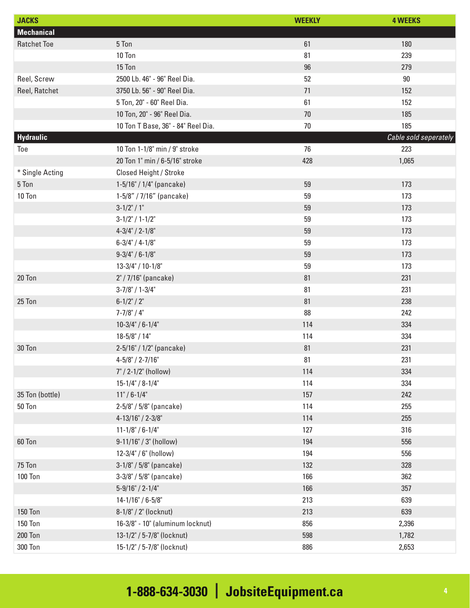| <b>JACKS</b>       |                                    | <b>WEEKLY</b> | <b>4 WEEKS</b>        |
|--------------------|------------------------------------|---------------|-----------------------|
| <b>Mechanical</b>  |                                    |               |                       |
| <b>Ratchet Toe</b> | 5 Ton                              | 61            | 180                   |
|                    | 10 Ton                             | 81            | 239                   |
|                    | 15 Ton                             | 96            | 279                   |
| Reel, Screw        | 2500 Lb. 46" - 96" Reel Dia.       | 52            | $90\,$                |
| Reel, Ratchet      | 3750 Lb. 56" - 90" Reel Dia.       | 71            | 152                   |
|                    | 5 Ton, 20" - 60" Reel Dia.         | 61            | 152                   |
|                    | 10 Ton, 20" - 96" Reel Dia.        | 70            | 185                   |
|                    | 10 Ton T Base, 36" - 84" Reel Dia. | 70            | 185                   |
| Hydraulic          |                                    |               | Cable sold seperately |
| Toe                | 10 Ton 1-1/8" min / 9" stroke      | 76            | 223                   |
|                    | 20 Ton 1" min / 6-5/16" stroke     | 428           | 1,065                 |
| * Single Acting    | Closed Height / Stroke             |               |                       |
| 5 Ton              | $1-5/16" / 1/4"$ (pancake)         | 59            | 173                   |
| 10 Ton             | $1-5/8" / 7/16"$ (pancake)         | 59            | 173                   |
|                    | $3-1/2" / 1"$                      | 59            | 173                   |
|                    | $3-1/2" / 1-1/2"$                  | 59            | 173                   |
|                    | $4-3/4$ " / 2-1/8"                 | 59            | 173                   |
|                    | $6 - 3/4" / 4 - 1/8"$              | 59            | 173                   |
|                    | $9 - 3/4" / 6 - 1/8"$              | 59            | 173                   |
|                    | 13-3/4" / 10-1/8"                  | 59            | 173                   |
| 20 Ton             | 2" / 7/16" (pancake)               | 81            | 231                   |
|                    | $3-7/8" / 1-3/4"$                  | 81            | 231                   |
| 25 Ton             | $6-1/2" / 2"$                      | 81            | 238                   |
|                    | $7 - 7/8$ " / 4"                   | 88            | 242                   |
|                    | $10-3/4" / 6-1/4"$                 | 114           | 334                   |
|                    | $18 - 5/8" / 14"$                  | 114           | 334                   |
| 30 Ton             | 2-5/16" / 1/2" (pancake)           | 81            | 231                   |
|                    | $4 - 5/8" / 2 - 7/16"$             | 81            | 231                   |
|                    | 7" / 2-1/2" (hollow)               | 114           | 334                   |
|                    | $15 - 1/4" / 8 - 1/4"$             | 114           | 334                   |
| 35 Ton (bottle)    | $11" / 6 - 1/4"$                   | 157           | 242                   |
| 50 Ton             | 2-5/8" / 5/8" (pancake)            | 114           | 255                   |
|                    | 4-13/16" / 2-3/8"                  | 114           | 255                   |
|                    | $11 - 1/8" / 6 - 1/4"$             | 127           | 316                   |
| 60 Ton             | 9-11/16" / 3" (hollow)             | 194           | 556                   |
|                    | 12-3/4" / 6" (hollow)              | 194           | 556                   |
| 75 Ton             | 3-1/8" / 5/8" (pancake)            | 132           | 328                   |
| <b>100 Ton</b>     | $3-3/8" / 5/8"$ (pancake)          | 166           | 362                   |
|                    | $5-9/16" / 2-1/4"$                 | 166           | 357                   |
|                    | $14 - 1/16" / 6 - 5/8"$            | 213           | 639                   |
| <b>150 Ton</b>     | 8-1/8" / 2" (locknut)              | 213           | 639                   |
| <b>150 Ton</b>     | 16-3/8" - 10" (aluminum locknut)   | 856           | 2,396                 |
| <b>200 Ton</b>     | 13-1/2" / 5-7/8" (locknut)         | 598           | 1,782                 |
| 300 Ton            | 15-1/2" / 5-7/8" (locknut)         | 886           | 2,653                 |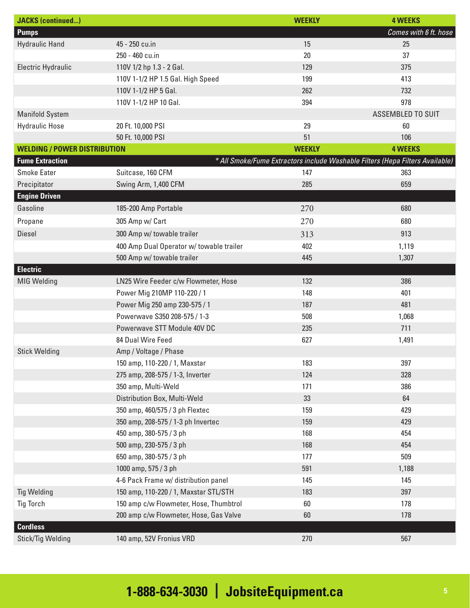| <b>JACKS</b> (continued)            |                                          | <b>WEEKLY</b> | <b>4 WEEKS</b>                                                                |
|-------------------------------------|------------------------------------------|---------------|-------------------------------------------------------------------------------|
| <b>Pumps</b>                        |                                          |               | Comes with 6 ft. hose                                                         |
| <b>Hydraulic Hand</b>               | 45 - 250 cu.in                           | 15            | 25                                                                            |
|                                     | 250 - 460 cu.in                          | 20            | 37                                                                            |
| Electric Hydraulic                  | 110V 1/2 hp 1.3 - 2 Gal.                 | 129           | 375                                                                           |
|                                     | 110V 1-1/2 HP 1.5 Gal. High Speed        | 199           | 413                                                                           |
|                                     | 110V 1-1/2 HP 5 Gal.                     | 262           | 732                                                                           |
|                                     | 110V 1-1/2 HP 10 Gal.                    | 394           | 978                                                                           |
| <b>Manifold System</b>              |                                          |               | <b>ASSEMBLED TO SUIT</b>                                                      |
| <b>Hydraulic Hose</b>               | 20 Ft. 10,000 PSI                        | 29            | 60                                                                            |
|                                     | 50 Ft. 10,000 PSI                        | 51            | 106                                                                           |
| <b>WELDING / POWER DISTRIBUTION</b> |                                          | <b>WEEKLY</b> | <b>4 WEEKS</b>                                                                |
| <b>Fume Extraction</b>              |                                          |               | * All Smoke/Fume Extractors include Washable Filters (Hepa Filters Available) |
| <b>Smoke Eater</b>                  | Suitcase, 160 CFM                        | 147           | 363                                                                           |
| Precipitator                        | Swing Arm, 1,400 CFM                     | 285           | 659                                                                           |
| <b>Engine Driven</b>                |                                          |               |                                                                               |
| Gasoline                            | 185-200 Amp Portable                     | 270           | 680                                                                           |
| Propane                             | 305 Amp w/ Cart                          | 270           | 680                                                                           |
| <b>Diesel</b>                       | 300 Amp w/ towable trailer               | 313           | 913                                                                           |
|                                     | 400 Amp Dual Operator w/ towable trailer | 402           | 1,119                                                                         |
|                                     | 500 Amp w/ towable trailer               | 445           | 1,307                                                                         |
| <b>Electric</b>                     |                                          |               |                                                                               |
| <b>MIG Welding</b>                  | LN25 Wire Feeder c/w Flowmeter, Hose     | 132           | 386                                                                           |
|                                     | Power Mig 210MP 110-220 / 1              | 148           | 401                                                                           |
|                                     | Power Mig 250 amp 230-575 / 1            | 187           | 481                                                                           |
|                                     | Powerwave S350 208-575 / 1-3             | 508           | 1,068                                                                         |
|                                     | Powerwave STT Module 40V DC              | 235           | 711                                                                           |
|                                     | 84 Dual Wire Feed                        | 627           | 1,491                                                                         |
| <b>Stick Welding</b>                | Amp / Voltage / Phase                    |               |                                                                               |
|                                     | 150 amp, 110-220 / 1, Maxstar            | 183           | 397                                                                           |
|                                     | 275 amp, 208-575 / 1-3, Inverter         | 124           | 328                                                                           |
|                                     | 350 amp, Multi-Weld                      | 171           | 386                                                                           |
|                                     | Distribution Box, Multi-Weld             | 33            | 64                                                                            |
|                                     | 350 amp, 460/575 / 3 ph Flextec          | 159           | 429                                                                           |
|                                     | 350 amp, 208-575 / 1-3 ph Invertec       | 159           | 429                                                                           |
|                                     | 450 amp, 380-575 / 3 ph                  | 168           | 454                                                                           |
|                                     | 500 amp, 230-575 / 3 ph                  | 168           | 454                                                                           |
|                                     | 650 amp, 380-575 / 3 ph                  | 177           | 509                                                                           |
|                                     | 1000 amp, 575 / 3 ph                     | 591           | 1,188                                                                         |
|                                     | 4-6 Pack Frame w/ distribution panel     | 145           | 145                                                                           |
| <b>Tig Welding</b>                  | 150 amp, 110-220 / 1, Maxstar STL/STH    | 183           | 397                                                                           |
| <b>Tig Torch</b>                    | 150 amp c/w Flowmeter, Hose, Thumbtrol   | 60            | 178                                                                           |
|                                     | 200 amp c/w Flowmeter, Hose, Gas Valve   | $60\,$        | 178                                                                           |
| <b>Cordless</b>                     |                                          |               |                                                                               |
| Stick/Tig Welding                   | 140 amp, 52V Fronius VRD                 | 270           | 567                                                                           |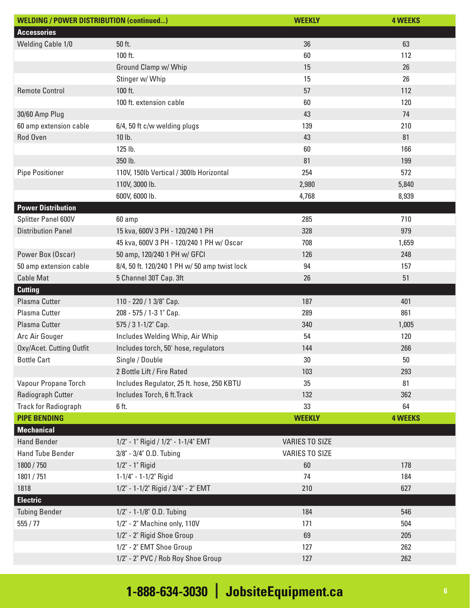| <b>WELDING / POWER DISTRIBUTION (continued)</b> |                                               | <b>WEEKLY</b>         | <b>4 WEEKS</b> |
|-------------------------------------------------|-----------------------------------------------|-----------------------|----------------|
| <b>Accessories</b>                              |                                               |                       |                |
| Welding Cable 1/0                               | 50 ft.                                        | 36                    | 63             |
|                                                 | 100 ft.                                       | 60                    | 112            |
|                                                 | Ground Clamp w/ Whip                          | 15                    | 26             |
|                                                 | Stinger w/ Whip                               | 15                    | 26             |
| <b>Remote Control</b>                           | 100 ft.                                       | 57                    | 112            |
|                                                 | 100 ft. extension cable                       | 60                    | 120            |
| 30/60 Amp Plug                                  |                                               | 43                    | 74             |
| 60 amp extension cable                          | 6/4, 50 ft c/w welding plugs                  | 139                   | 210            |
| Rod Oven                                        | 10 lb.                                        | 43                    | 81             |
|                                                 | 125 lb.                                       | 60                    | 166            |
|                                                 | 350 lb.                                       | 81                    | 199            |
| <b>Pipe Positioner</b>                          | 110V, 150lb Vertical / 300lb Horizontal       | 254                   | 572            |
|                                                 | 110V, 3000 lb.                                | 2,980                 | 5,840          |
|                                                 | 600V, 6000 lb.                                | 4,768                 | 8,939          |
| <b>Power Distribution</b>                       |                                               |                       |                |
| Splitter Panel 600V                             | 60 amp                                        | 285                   | 710            |
| <b>Distribution Panel</b>                       | 15 kva, 600V 3 PH - 120/240 1 PH              | 328                   | 979            |
|                                                 | 45 kva, 600V 3 PH - 120/240 1 PH w/ Oscar     | 708                   | 1,659          |
| Power Box (Oscar)                               | 50 amp, 120/240 1 PH w/ GFCI                  | 126                   | 248            |
| 50 amp extension cable                          | 8/4, 50 ft. 120/240 1 PH w/ 50 amp twist lock | 94                    | 157            |
| <b>Cable Mat</b>                                | 5 Channel 30T Cap. 3ft                        | 26                    | 51             |
| <b>Cutting</b>                                  |                                               |                       |                |
| Plasma Cutter                                   | 110 - 220 / 1 3/8" Cap.                       | 187                   | 401            |
| Plasma Cutter                                   | 208 - 575 / 1-3 1" Cap.                       | 289                   | 861            |
| Plasma Cutter                                   | 575 / 3 1-1/2" Cap.                           | 340                   | 1,005          |
| Arc Air Gouger                                  | Includes Welding Whip, Air Whip               | 54                    | 120            |
| Oxy/Acet. Cutting Outfit                        | Includes torch, 50' hose, regulators          | 144                   | 266            |
| <b>Bottle Cart</b>                              | Single / Double                               | 30                    | 50             |
|                                                 | 2 Bottle Lift / Fire Rated                    | 103                   | 293            |
| Vapour Propane Torch                            | Includes Regulator, 25 ft. hose, 250 KBTU     | 35                    | 81             |
| Radiograph Cutter                               | Includes Torch, 6 ft. Track                   | 132                   | 362            |
| <b>Track for Radiograph</b>                     | 6 ft.                                         | 33                    | 64             |
| <b>PIPE BENDING</b>                             |                                               | <b>WEEKLY</b>         | <b>4 WEEKS</b> |
| <b>Mechanical</b>                               |                                               |                       |                |
| <b>Hand Bender</b>                              | 1/2" - 1" Rigid / 1/2" - 1-1/4" EMT           | <b>VARIES TO SIZE</b> |                |
| <b>Hand Tube Bender</b>                         | 3/8" - 3/4" O.D. Tubing                       | <b>VARIES TO SIZE</b> |                |
| 1800 / 750                                      | 1/2" - 1" Rigid                               | 60                    | 178            |
| 1801 / 751                                      | 1-1/4" - 1-1/2" Rigid                         | 74                    | 184            |
| 1818                                            | 1/2" - 1-1/2" Rigid / 3/4" - 2" EMT           | 210                   | 627            |
| <b>Electric</b>                                 |                                               |                       |                |
| <b>Tubing Bender</b>                            | 1/2" - 1-1/8" O.D. Tubing                     | 184                   | 546            |
| 555/77                                          | 1/2" - 2" Machine only, 110V                  | 171                   | 504            |
|                                                 | 1/2" - 2" Rigid Shoe Group                    | 69                    | 205            |
|                                                 | 1/2" - 2" EMT Shoe Group                      | 127                   | 262            |
|                                                 | 1/2" - 2" PVC / Rob Roy Shoe Group            | 127                   | 262            |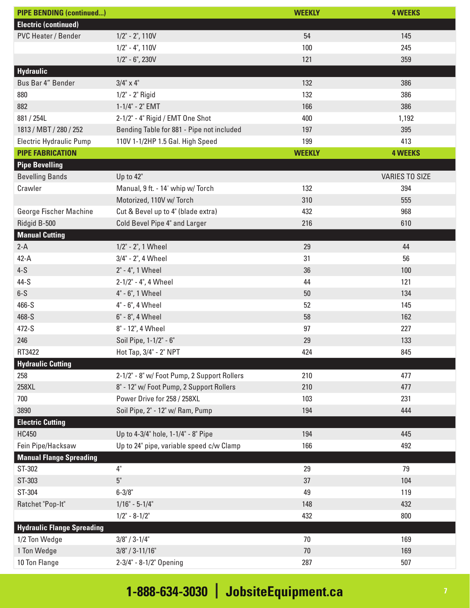| <b>PIPE BENDING (continued)</b>   |                                             | <b>WEEKLY</b> | <b>4 WEEKS</b>        |
|-----------------------------------|---------------------------------------------|---------------|-----------------------|
| <b>Electric (continued)</b>       |                                             |               |                       |
| PVC Heater / Bender               | $1/2$ " - 2", 110V                          | 54            | 145                   |
|                                   | $1/2$ " - 4", 110V                          | 100           | 245                   |
|                                   | $1/2$ " - 6", 230V                          | 121           | 359                   |
| Hydraulic                         |                                             |               |                       |
| Bus Bar 4" Bender                 | $3/4$ " x 4"                                | 132           | 386                   |
| 880                               | 1/2" - 2" Rigid                             | 132           | 386                   |
| 882                               | 1-1/4" - 2" EMT                             | 166           | 386                   |
| 881 / 254L                        | 2-1/2" - 4" Rigid / EMT One Shot            | 400           | 1,192                 |
| 1813 / MBT / 280 / 252            | Bending Table for 881 - Pipe not included   | 197           | 395                   |
| Electric Hydraulic Pump           | 110V 1-1/2HP 1.5 Gal. High Speed            | 199           | 413                   |
| <b>PIPE FABRICATION</b>           |                                             | <b>WEEKLY</b> | <b>4 WEEKS</b>        |
| <b>Pipe Bevelling</b>             |                                             |               |                       |
| <b>Bevelling Bands</b>            | Up to 42"                                   |               | <b>VARIES TO SIZE</b> |
| Crawler                           | Manual, 9 ft. - 14' whip w/ Torch           | 132           | 394                   |
|                                   | Motorized, 110V w/ Torch                    | 310           | 555                   |
| George Fischer Machine            | Cut & Bevel up to 4" (blade extra)          | 432           | 968                   |
| Ridgid B-500                      | Cold Bevel Pipe 4" and Larger               | 216           | 610                   |
| <b>Manual Cutting</b>             |                                             |               |                       |
| $2-A$                             | 1/2" - 2", 1 Wheel                          | 29            | 44                    |
| $42 - A$                          | 3/4" - 2", 4 Wheel                          | 31            | 56                    |
| $4-S$                             | 2" - 4", 1 Wheel                            | 36            | 100                   |
| 44-S                              | 2-1/2" - 4", 4 Wheel                        | 44            | 121                   |
| $6-S$                             | 4" - 6", 1 Wheel                            | 50            | 134                   |
| 466-S                             | 4" - 6", 4 Wheel                            | 52            | 145                   |
| 468-S                             | 6" - 8", 4 Wheel                            | 58            | 162                   |
| 472-S                             | 8" - 12", 4 Wheel                           | 97            | 227                   |
| 246                               | Soil Pipe, 1-1/2" - 6"                      | 29            | 133                   |
| RT3422                            | Hot Tap, 3/4" - 2" NPT                      | 424           | 845                   |
| <b>Hydraulic Cutting</b>          |                                             |               |                       |
| 258                               | 2-1/2" - 8" w/ Foot Pump, 2 Support Rollers | 210           | 477                   |
| 258XL                             | 8" - 12" w/ Foot Pump, 2 Support Rollers    | 210           | 477                   |
| 700                               | Power Drive for 258 / 258XL                 | 103           | 231                   |
| 3890                              | Soil Pipe, 2" - 12" w/ Ram, Pump            | 194           | 444                   |
| <b>Electric Cutting</b>           |                                             |               |                       |
| <b>HC450</b>                      | Up to 4-3/4" hole, 1-1/4" - 8" Pipe         | 194           | 445                   |
| Fein Pipe/Hacksaw                 | Up to 24" pipe, variable speed c/w Clamp    | 166           | 492                   |
| <b>Manual Flange Spreading</b>    |                                             |               |                       |
| ST-302                            | 4"                                          | 29            | 79                    |
| ST-303                            | 5"                                          | 37            | 104                   |
| ST-304                            | $6 - 3/8"$                                  | 49            | 119                   |
| Ratchet "Pop-It"                  | $1/16" - 5-1/4"$                            | 148           | 432                   |
|                                   | $1/2$ " - 8-1/2"                            | 432           | 800                   |
| <b>Hydraulic Flange Spreading</b> |                                             |               |                       |
| 1/2 Ton Wedge                     | $3/8$ " / 3-1/4"                            | 70            | 169                   |
| 1 Ton Wedge                       | $3/8$ " / 3-11/16"                          | 70            | 169                   |
| 10 Ton Flange                     | 2-3/4" - 8-1/2" Opening                     | 287           | 507                   |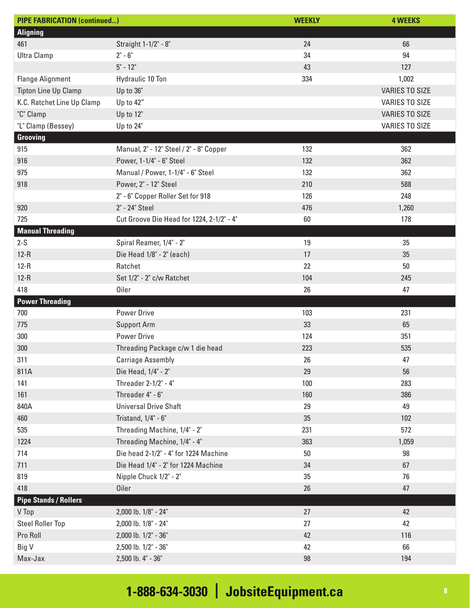| <b>PIPE FABRICATION (continued)</b> |                                           | <b>WEEKLY</b> | <b>4 WEEKS</b>        |
|-------------------------------------|-------------------------------------------|---------------|-----------------------|
| <b>Aligning</b>                     |                                           |               |                       |
| 461                                 | Straight 1-1/2" - 8"                      | 24            | 66                    |
| <b>Ultra Clamp</b>                  | $2" - 6"$                                 | 34            | 94                    |
|                                     | $5" - 12"$                                | 43            | 127                   |
| <b>Flange Alignment</b>             | Hydraulic 10 Ton                          | 334           | 1,002                 |
| <b>Tipton Line Up Clamp</b>         | Up to 36"                                 |               | <b>VARIES TO SIZE</b> |
| K.C. Ratchet Line Up Clamp          | Up to 42"                                 |               | <b>VARIES TO SIZE</b> |
| "C" Clamp                           | Up to 12"                                 |               | <b>VARIES TO SIZE</b> |
| "L" Clamp (Bessey)                  | Up to 24"                                 |               | <b>VARIES TO SIZE</b> |
| Grooving                            |                                           |               |                       |
| 915                                 | Manual, 2" - 12" Steel / 2" - 8" Copper   | 132           | 362                   |
| 916                                 | Power, 1-1/4" - 6" Steel                  | 132           | 362                   |
| 975                                 | Manual / Power, 1-1/4" - 6" Steel         | 132           | 362                   |
| 918                                 | Power, 2" - 12" Steel                     | 210           | 588                   |
|                                     | 2" - 6" Copper Roller Set for 918         | 126           | 248                   |
| 920                                 | 2" - 24" Steel                            | 476           | 1,260                 |
| 725                                 | Cut Groove Die Head for 1224, 2-1/2" - 4" | 60            | 178                   |
| <b>Manual Threading</b>             |                                           |               |                       |
| $2-S$                               | Spiral Reamer, 1/4" - 2"                  | 19            | 35                    |
| $12-R$                              | Die Head 1/8" - 2" (each)                 | 17            | 35                    |
| $12-R$                              | Ratchet                                   | 22            | 50                    |
| $12-R$                              | Set 1/2" - 2" c/w Ratchet                 | 104           | 245                   |
| 418                                 | <b>Oiler</b>                              | 26            | 47                    |
| <b>Power Threading</b>              |                                           |               |                       |
| 700                                 | <b>Power Drive</b>                        | 103           | 231                   |
| 775                                 | <b>Support Arm</b>                        | 33            | 65                    |
| 300                                 | <b>Power Drive</b>                        | 124           | 351                   |
| 300                                 | Threading Package c/w 1 die head          | 223           | 535                   |
| 311                                 | <b>Carriage Assembly</b>                  | 26            | 47                    |
| 811A                                | Die Head, 1/4" - 2"                       | 29            | 56                    |
| 141                                 | Threader 2-1/2" - 4"                      | 100           | 283                   |
| 161                                 | Threader 4" - 6"                          | 160           | 386                   |
| 840A                                | <b>Universal Drive Shaft</b>              | 29            | 49                    |
| 460                                 | Tristand, 1/4" - 6"                       | $35\,$        | 102                   |
| 535                                 | Threading Machine, 1/4" - 2"              | 231           | 572                   |
| 1224                                | Threading Machine, 1/4" - 4"              | 363           | 1,059                 |
| 714                                 | Die head 2-1/2" - 4" for 1224 Machine     | $50\,$        | 98                    |
| 711                                 | Die Head 1/4" - 2" for 1224 Machine       | 34            | 67                    |
| 819                                 | Nipple Chuck 1/2" - 2"                    | $35\,$        | 76                    |
| 418                                 | <b>Oiler</b>                              | 26            | 47                    |
| <b>Pipe Stands / Rollers</b>        |                                           |               |                       |
| V Top                               | 2,000 lb. 1/8" - 24"                      | 27            | 42                    |
| <b>Steel Roller Top</b>             | 2,000 lb. 1/8" - 24"                      | 27            | 42                    |
| Pro Roll                            | 2,000 lb. 1/2" - 36"                      | 42            | 116                   |
| Big V                               | 2,500 lb. 1/2" - 36"                      | 42            | 66                    |
| Max-Jax                             | 2,500 lb. 4" - 36"                        | $98\,$        | 194                   |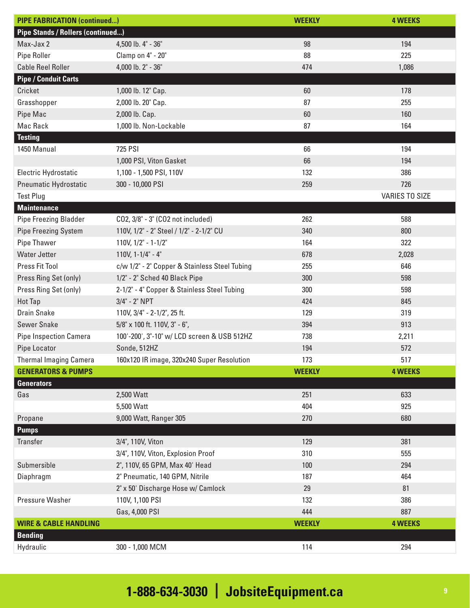| <b>PIPE FABRICATION (continued)</b>      |                                               | <b>WEEKLY</b> | <b>4 WEEKS</b>        |
|------------------------------------------|-----------------------------------------------|---------------|-----------------------|
| <b>Pipe Stands / Rollers (continued)</b> |                                               |               |                       |
| Max-Jax 2                                | 4,500 lb. 4" - 36"                            | 98            | 194                   |
| <b>Pipe Roller</b>                       | Clamp on 4" - 20"                             | 88            | 225                   |
| <b>Cable Reel Roller</b>                 | 4,000 lb. 2" - 36"                            | 474           | 1,086                 |
| <b>Pipe / Conduit Carts</b>              |                                               |               |                       |
| Cricket                                  | 1,000 lb. 12" Cap.                            | 60            | 178                   |
| Grasshopper                              | 2,000 lb. 20" Cap.                            | 87            | 255                   |
| Pipe Mac                                 | 2,000 lb. Cap.                                | 60            | 160                   |
| Mac Rack                                 | 1,000 lb. Non-Lockable                        | 87            | 164                   |
| <b>Testing</b>                           |                                               |               |                       |
| 1450 Manual                              | <b>725 PSI</b>                                | 66            | 194                   |
|                                          | 1,000 PSI, Viton Gasket                       | 66            | 194                   |
| Electric Hydrostatic                     | 1,100 - 1,500 PSI, 110V                       | 132           | 386                   |
| Pneumatic Hydrostatic                    | 300 - 10,000 PSI                              | 259           | 726                   |
| <b>Test Plug</b>                         |                                               |               | <b>VARIES TO SIZE</b> |
| <b>Maintenance</b>                       |                                               |               |                       |
| <b>Pipe Freezing Bladder</b>             | CO2, 3/8" - 3" (CO2 not included)             | 262           | 588                   |
| <b>Pipe Freezing System</b>              | 110V, 1/2" - 2" Steel / 1/2" - 2-1/2" CU      | 340           | 800                   |
| Pipe Thawer                              | $110V, 1/2" - 1-1/2"$                         | 164           | 322                   |
| <b>Water Jetter</b>                      | 110V, $1 - 1/4$ " - $4$ "                     | 678           | 2,028                 |
| Press Fit Tool                           | c/w 1/2" - 2" Copper & Stainless Steel Tubing | 255           | 646                   |
| Press Ring Set (only)                    | 1/2" - 2" Sched 40 Black Pipe                 | 300           | 598                   |
| Press Ring Set (only)                    | 2-1/2" - 4" Copper & Stainless Steel Tubing   | 300           | 598                   |
| <b>Hot Tap</b>                           | 3/4" - 2" NPT                                 | 424           | 845                   |
| <b>Drain Snake</b>                       | 110V, 3/4" - 2-1/2", 25 ft.                   | 129           | 319                   |
| <b>Sewer Snake</b>                       | 5/8" x 100 ft. 110V, 3" - 6",                 | 394           | 913                   |
| <b>Pipe Inspection Camera</b>            | 100'-200', 3"-10" w/ LCD screen & USB 512HZ   | 738           | 2,211                 |
| Pipe Locator                             | Sonde, 512HZ                                  | 194           | 572                   |
| <b>Thermal Imaging Camera</b>            | 160x120 IR image, 320x240 Super Resolution    | 173           | 517                   |
| <b>GENERATORS &amp; PUMPS</b>            |                                               | <b>WEEKLY</b> | <b>4 WEEKS</b>        |
| <b>Generators</b>                        |                                               |               |                       |
| Gas                                      | 2,500 Watt                                    | 251           | 633                   |
|                                          | 5,500 Watt                                    | 404           | 925                   |
| Propane                                  | 9,000 Watt, Ranger 305                        | 270           | 680                   |
| <b>Pumps</b>                             |                                               |               |                       |
| Transfer                                 | 3/4", 110V, Viton                             | 129           | 381                   |
|                                          | 3/4", 110V, Viton, Explosion Proof            | 310           | 555                   |
| Submersible                              | 2", 110V, 65 GPM, Max 40' Head                | 100           | 294                   |
| Diaphragm                                | 2" Pneumatic, 140 GPM, Nitrile                | 187           | 464                   |
|                                          | 2" x 50' Discharge Hose w/ Camlock            | 29            | 81                    |
| Pressure Washer                          | 110V, 1,100 PSI                               | 132           | 386                   |
|                                          | Gas, 4,000 PSI                                | 444           | 887                   |
| <b>WIRE &amp; CABLE HANDLING</b>         |                                               | <b>WEEKLY</b> | <b>4 WEEKS</b>        |
| <b>Bending</b>                           |                                               |               |                       |
| Hydraulic                                | 300 - 1,000 MCM                               | 114           | 294                   |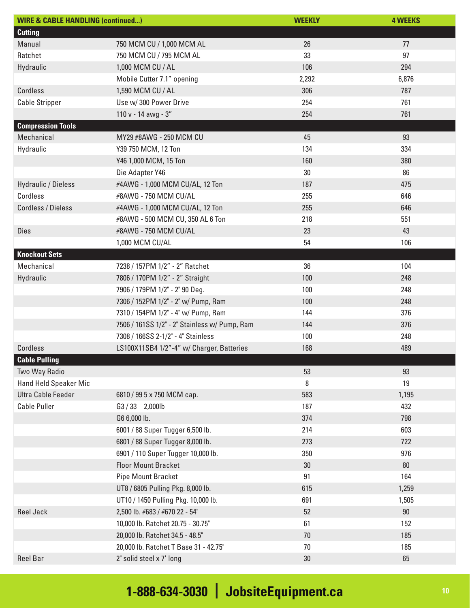| <b>WIRE &amp; CABLE HANDLING (continued)</b> |                                               | <b>WEEKLY</b> | <b>4 WEEKS</b> |
|----------------------------------------------|-----------------------------------------------|---------------|----------------|
| <b>Cutting</b>                               |                                               |               |                |
| Manual                                       | 750 MCM CU / 1,000 MCM AL                     | 26            | 77             |
| Ratchet                                      | 750 MCM CU / 795 MCM AL                       | 33            | 97             |
| Hydraulic                                    | 1,000 MCM CU / AL                             | 106           | 294            |
|                                              | Mobile Cutter 7.1" opening                    | 2,292         | 6,876          |
| Cordless                                     | 1,590 MCM CU / AL                             | 306           | 787            |
| <b>Cable Stripper</b>                        | Use w/ 300 Power Drive                        | 254           | 761            |
|                                              | 110 v - 14 awg - 3"                           | 254           | 761            |
| <b>Compression Tools</b>                     |                                               |               |                |
| Mechanical                                   | MY29 #8AWG - 250 MCM CU                       | 45            | 93             |
| Hydraulic                                    | Y39 750 MCM, 12 Ton                           | 134           | 334            |
|                                              | Y46 1,000 MCM, 15 Ton                         | 160           | 380            |
|                                              | Die Adapter Y46                               | $30\,$        | 86             |
| <b>Hydraulic / Dieless</b>                   | #4AWG - 1,000 MCM CU/AL, 12 Ton               | 187           | 475            |
| Cordless                                     | #8AWG - 750 MCM CU/AL                         | 255           | 646            |
| Cordless / Dieless                           | #4AWG - 1,000 MCM CU/AL, 12 Ton               | 255           | 646            |
|                                              | #8AWG - 500 MCM CU, 350 AL 6 Ton              | 218           | 551            |
| <b>Dies</b>                                  | #8AWG - 750 MCM CU/AL                         | 23            | 43             |
|                                              | 1,000 MCM CU/AL                               | 54            | 106            |
| <b>Knockout Sets</b>                         |                                               |               |                |
| Mechanical                                   | 7238 / 157PM 1/2" - 2" Ratchet                | 36            | 104            |
| Hydraulic                                    | 7806 / 170PM 1/2" - 2" Straight               | 100           | 248            |
|                                              | 7906 / 179PM 1/2" - 2" 90 Deg.                | 100           | 248            |
|                                              | 7306 / 152PM 1/2" - 2" w/ Pump, Ram           | 100           | 248            |
|                                              | 7310 / 154PM 1/2" - 4" w/ Pump, Ram           | 144           | 376            |
|                                              | 7506 / 161SS 1/2" - 2" Stainless w/ Pump, Ram | 144           | 376            |
|                                              | 7308 / 166SS 2-1/2" - 4" Stainless            | 100           | 248            |
| Cordless                                     | LS100X11SB4 1/2"-4" w/ Charger, Batteries     | 168           | 489            |
| <b>Cable Pulling</b>                         |                                               |               |                |
| Two Way Radio                                |                                               | 53            | 93             |
| <b>Hand Held Speaker Mic</b>                 |                                               | 8             | 19             |
| <b>Ultra Cable Feeder</b>                    | 6810 / 99 5 x 750 MCM cap.                    | 583           | 1,195          |
| <b>Cable Puller</b>                          | G3/33 2,000lb                                 | 187           | 432            |
|                                              | G6 6,000 lb.                                  | 374           | 798            |
|                                              | 6001 / 88 Super Tugger 6,500 lb.              | 214           | 603            |
|                                              | 6801 / 88 Super Tugger 8,000 lb.              | 273           | 722            |
|                                              | 6901 / 110 Super Tugger 10,000 lb.            | 350           | 976            |
|                                              | <b>Floor Mount Bracket</b>                    | 30            | 80             |
|                                              | <b>Pipe Mount Bracket</b>                     | 91            | 164            |
|                                              | UT8 / 6805 Pulling Pkg. 8,000 lb.             | 615           | 1,259          |
|                                              | UT10 / 1450 Pulling Pkg. 10,000 lb.           | 691           | 1,505          |
| <b>Reel Jack</b>                             | 2,500 lb. #683 / #670 22 - 54"                | 52            | 90             |
|                                              | 10,000 lb. Ratchet 20.75 - 30.75"             | 61            | 152            |
|                                              | 20,000 lb. Ratchet 34.5 - 48.5"               | 70            | 185            |
|                                              | 20,000 lb. Ratchet T Base 31 - 42.75"         | 70            | 185            |
| <b>Reel Bar</b>                              | 2" solid steel x 7' long                      | $30\,$        | 65             |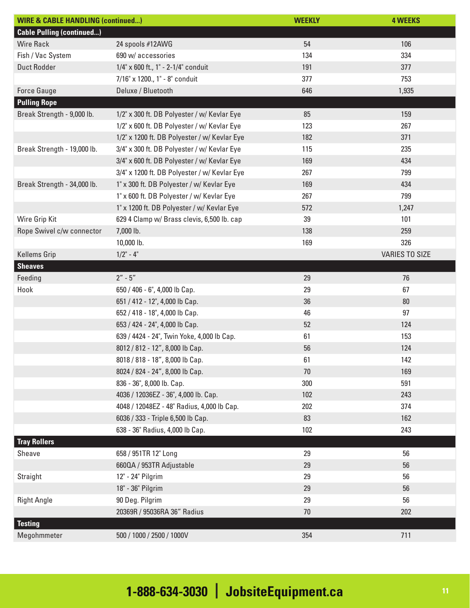| <b>WIRE &amp; CABLE HANDLING (continued)</b> |                                              | <b>WEEKLY</b> | <b>4 WEEKS</b>        |
|----------------------------------------------|----------------------------------------------|---------------|-----------------------|
| <b>Cable Pulling (continued)</b>             |                                              |               |                       |
| <b>Wire Rack</b>                             | 24 spools #12AWG                             | 54            | 106                   |
| Fish / Vac System                            | 690 w/ accessories                           | 134           | 334                   |
| <b>Duct Rodder</b>                           | 1/4" x 600 ft., 1" - 2-1/4" conduit          | 191           | 377                   |
|                                              | 7/16" x 1200., 1" - 8" conduit               | 377           | 753                   |
| <b>Force Gauge</b>                           | Deluxe / Bluetooth                           | 646           | 1,935                 |
| <b>Pulling Rope</b>                          |                                              |               |                       |
| Break Strength - 9,000 lb.                   | 1/2" x 300 ft. DB Polyester / w/ Kevlar Eye  | 85            | 159                   |
|                                              | 1/2" x 600 ft. DB Polyester / w/ Kevlar Eye  | 123           | 267                   |
|                                              | 1/2" x 1200 ft. DB Polyester / w/ Kevlar Eye | 182           | 371                   |
| Break Strength - 19,000 lb.                  | 3/4" x 300 ft. DB Polyester / w/ Kevlar Eye  | 115           | 235                   |
|                                              | 3/4" x 600 ft. DB Polyester / w/ Kevlar Eye  | 169           | 434                   |
|                                              | 3/4" x 1200 ft. DB Polyester / w/ Kevlar Eye | 267           | 799                   |
| Break Strength - 34,000 lb.                  | 1" x 300 ft. DB Polyester / w/ Kevlar Eye    | 169           | 434                   |
|                                              | 1" x 600 ft. DB Polyester / w/ Kevlar Eye    | 267           | 799                   |
|                                              | 1" x 1200 ft. DB Polyester / w/ Kevlar Eye   | 572           | 1,247                 |
| Wire Grip Kit                                | 629 4 Clamp w/ Brass clevis, 6,500 lb. cap   | 39            | 101                   |
| Rope Swivel c/w connector                    | 7,000 lb.                                    | 138           | 259                   |
|                                              | 10,000 lb.                                   | 169           | 326                   |
| <b>Kellems Grip</b>                          | $1/2$ " - 4"                                 |               | <b>VARIES TO SIZE</b> |
| <b>Sheaves</b>                               |                                              |               |                       |
| Feeding                                      | $2'' - 5''$                                  | 29            | 76                    |
| Hook                                         | 650 / 406 - 6", 4,000 lb Cap.                | 29            | 67                    |
|                                              | 651 / 412 - 12", 4,000 lb Cap.               | 36            | $80\,$                |
|                                              | 652 / 418 - 18", 4,000 lb Cap.               | 46            | 97                    |
|                                              | 653 / 424 - 24", 4,000 lb Cap.               | 52            | 124                   |
|                                              | 639 / 4424 - 24", Twin Yoke, 4,000 lb Cap.   | 61            | 153                   |
|                                              | 8012 / 812 - 12", 8,000 lb Cap.              | 56            | 124                   |
|                                              | 8018 / 818 - 18", 8,000 lb Cap.              | 61            | 142                   |
|                                              | 8024 / 824 - 24", 8,000 lb Cap.              | 70            | 169                   |
|                                              | 836 - 36", 8,000 lb. Cap.                    | 300           | 591                   |
|                                              | 4036 / 12036EZ - 36", 4,000 lb. Cap.         | 102           | 243                   |
|                                              | 4048 / 12048EZ - 48" Radius, 4,000 lb Cap.   | 202           | 374                   |
|                                              | 6036 / 333 - Triple 6,500 lb Cap.            | 83            | 162                   |
|                                              | 638 - 36" Radius, 4,000 lb Cap.              | 102           | 243                   |
| <b>Tray Rollers</b>                          |                                              |               |                       |
| Sheave                                       | 658 / 951TR 12" Long                         | 29            | 56                    |
|                                              | 6600A / 953TR Adjustable                     | 29            | 56                    |
| Straight                                     | 12" - 24" Pilgrim                            | 29            | 56                    |
|                                              | 18" - 36" Pilgrim                            | 29            | 56                    |
| <b>Right Angle</b>                           | 90 Deg. Pilgrim                              | 29            | 56                    |
|                                              | 20369R / 95036RA 36" Radius                  | $70\,$        | 202                   |
| <b>Testing</b>                               |                                              |               |                       |
| Megohmmeter                                  | 500 / 1000 / 2500 / 1000V                    | 354           | 711                   |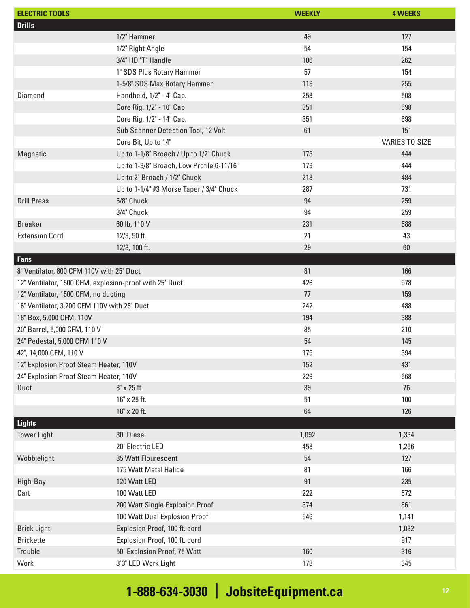| <b>ELECTRIC TOOLS</b>                                   |                                           | <b>WEEKLY</b> | <b>4 WEEKS</b>        |
|---------------------------------------------------------|-------------------------------------------|---------------|-----------------------|
| <b>Drills</b>                                           |                                           |               |                       |
|                                                         | 1/2" Hammer                               | 49            | 127                   |
|                                                         | 1/2" Right Angle                          | 54            | 154                   |
|                                                         | 3/4" HD "T" Handle                        | 106           | 262                   |
|                                                         | 1" SDS Plus Rotary Hammer                 | 57            | 154                   |
|                                                         | 1-5/8" SDS Max Rotary Hammer              | 119           | 255                   |
| Diamond                                                 | Handheld, 1/2" - 4" Cap.                  | 258           | 508                   |
|                                                         | Core Rig. 1/2" - 10" Cap                  | 351           | 698                   |
|                                                         | Core Rig, 1/2" - 14" Cap.                 | 351           | 698                   |
|                                                         | Sub Scanner Detection Tool, 12 Volt       | 61            | 151                   |
|                                                         | Core Bit, Up to 14"                       |               | <b>VARIES TO SIZE</b> |
| Magnetic                                                | Up to 1-1/8" Broach / Up to 1/2" Chuck    | 173           | 444                   |
|                                                         | Up to 1-3/8" Broach, Low Profile 6-11/16" | 173           | 444                   |
|                                                         | Up to 2" Broach / 1/2" Chuck              | 218           | 484                   |
|                                                         | Up to 1-1/4" #3 Morse Taper / 3/4" Chuck  | 287           | 731                   |
| <b>Drill Press</b>                                      | 5/8" Chuck                                | 94            | 259                   |
|                                                         | 3/4" Chuck                                | 94            | 259                   |
| <b>Breaker</b>                                          | 60 lb, 110 V                              | 231           | 588                   |
| <b>Extension Cord</b>                                   | 12/3, 50 ft.                              | 21            | 43                    |
|                                                         | 12/3, 100 ft.                             | 29            | 60                    |
| <b>Fans</b>                                             |                                           |               |                       |
| 8" Ventilator, 800 CFM 110V with 25' Duct               |                                           | 81            | 166                   |
| 12" Ventilator, 1500 CFM, explosion-proof with 25' Duct |                                           | 426           | 978                   |
| 12" Ventilator, 1500 CFM, no ducting                    |                                           | 77            | 159                   |
| 16" Ventilator, 3,200 CFM 110V with 25' Duct            |                                           | 242           | 488                   |
| 18" Box, 5,000 CFM, 110V                                |                                           | 194           | 388                   |
| 20" Barrel, 5,000 CFM, 110 V                            |                                           | 85            | 210                   |
| 24" Pedestal, 5,000 CFM 110 V                           |                                           | 54            | 145                   |
| 42", 14,000 CFM, 110 V                                  |                                           | 179           | 394                   |
| 12" Explosion Proof Steam Heater, 110V                  |                                           | 152           | 431                   |
| 24" Explosion Proof Steam Heater, 110V                  |                                           | 229           | 668                   |
| Duct                                                    | 8" x 25 ft.                               | 39            | 76                    |
|                                                         | 16" x 25 ft.                              | 51            | 100                   |
|                                                         | 18" x 20 ft.                              | 64            | 126                   |
| <b>Lights</b>                                           |                                           |               |                       |
| <b>Tower Light</b>                                      | 30' Diesel                                | 1,092         | 1,334                 |
|                                                         | 20' Electric LED                          | 458           | 1,266                 |
| Wobblelight                                             | 85 Watt Flourescent                       | 54            | 127                   |
|                                                         | 175 Watt Metal Halide                     | 81            | 166                   |
| High-Bay                                                | 120 Watt LED                              | 91            | 235                   |
| Cart                                                    | 100 Watt LED                              | 222           | 572                   |
|                                                         | 200 Watt Single Explosion Proof           | 374           | 861                   |
|                                                         | 100 Watt Dual Explosion Proof             | 546           | 1,141                 |
| <b>Brick Light</b>                                      | Explosion Proof, 100 ft. cord             |               | 1,032                 |
| <b>Brickette</b>                                        | Explosion Proof, 100 ft. cord             |               | 917                   |
| Trouble                                                 | 50' Explosion Proof, 75 Watt              | 160           | 316                   |
| Work                                                    | 3'3" LED Work Light                       | 173           | 345                   |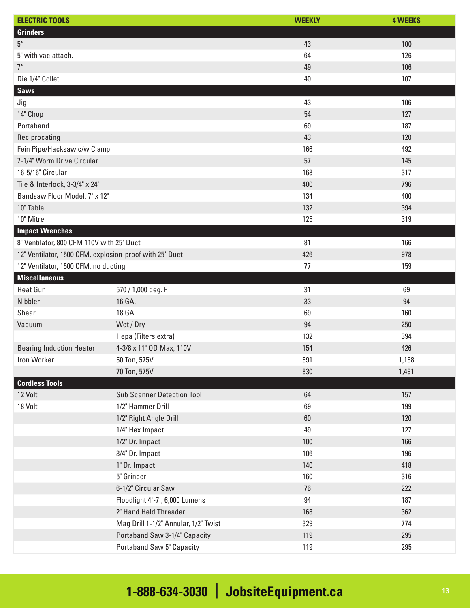| <b>ELECTRIC TOOLS</b>                                   |                                      | <b>WEEKLY</b> | <b>4 WEEKS</b> |
|---------------------------------------------------------|--------------------------------------|---------------|----------------|
| <b>Grinders</b>                                         |                                      |               |                |
| $5^{\prime\prime}$                                      |                                      | 43            | 100            |
| 5" with vac attach.                                     |                                      | 64            | 126            |
| 7''                                                     |                                      | 49            | 106            |
| Die 1/4" Collet                                         |                                      | 40            | 107            |
| <b>Saws</b>                                             |                                      |               |                |
| Jig                                                     |                                      | 43            | 106            |
| 14" Chop                                                |                                      | 54            | 127            |
| Portaband                                               |                                      | 69            | 187            |
| Reciprocating                                           |                                      | 43            | 120            |
| Fein Pipe/Hacksaw c/w Clamp                             |                                      | 166           | 492            |
| 7-1/4" Worm Drive Circular                              |                                      | 57            | 145            |
| 16-5/16" Circular                                       |                                      | 168           | 317            |
| Tile & Interlock, 3-3/4" x 24"                          |                                      | 400           | 796            |
| Bandsaw Floor Model, 7" x 12"                           |                                      | 134           | 400            |
| 10" Table                                               |                                      | 132           | 394            |
| 10" Mitre                                               |                                      | 125           | 319            |
| <b>Impact Wrenches</b>                                  |                                      |               |                |
| 8" Ventilator, 800 CFM 110V with 25' Duct               |                                      | 81            | 166            |
| 12" Ventilator, 1500 CFM, explosion-proof with 25' Duct |                                      | 426           | 978            |
| 12" Ventilator, 1500 CFM, no ducting                    |                                      | 77            | 159            |
| <b>Miscellaneous</b>                                    |                                      |               |                |
| <b>Heat Gun</b>                                         | 570 / 1,000 deg. F                   | 31            | 69             |
| Nibbler                                                 | 16 GA.                               | 33            | 94             |
| Shear                                                   | 18 GA.                               | 69            | 160            |
| Vacuum                                                  | Wet / Dry                            | 94            | 250            |
|                                                         | Hepa (Filters extra)                 | 132           | 394            |
| <b>Bearing Induction Heater</b>                         | 4-3/8 x 11" OD Max, 110V             | 154           | 426            |
| Iron Worker                                             | 50 Ton, 575V                         | 591           | 1,188          |
|                                                         | 70 Ton, 575V                         | 830           | 1,491          |
| <b>Cordless Tools</b>                                   |                                      |               |                |
| 12 Volt                                                 | <b>Sub Scanner Detection Tool</b>    | 64            | 157            |
| 18 Volt                                                 | 1/2" Hammer Drill                    | 69            | 199            |
|                                                         | 1/2" Right Angle Drill               | $60\,$        | 120            |
|                                                         | 1/4" Hex Impact                      | 49            | 127            |
|                                                         | 1/2" Dr. Impact                      | 100           | 166            |
|                                                         | 3/4" Dr. Impact                      | 106           | 196            |
|                                                         | 1" Dr. Impact                        | 140           | 418            |
|                                                         | 5" Grinder                           | 160           | 316            |
|                                                         | 6-1/2" Circular Saw                  | 76            | 222            |
|                                                         | Floodlight 4'-7', 6,000 Lumens       | 94            | 187            |
|                                                         | 2" Hand Held Threader                | 168           | 362            |
|                                                         | Mag Drill 1-1/2" Annular, 1/2" Twist | 329           | 774            |
|                                                         | Portaband Saw 3-1/4" Capacity        | 119           | 295            |
|                                                         | <b>Portaband Saw 5" Capacity</b>     | 119           | 295            |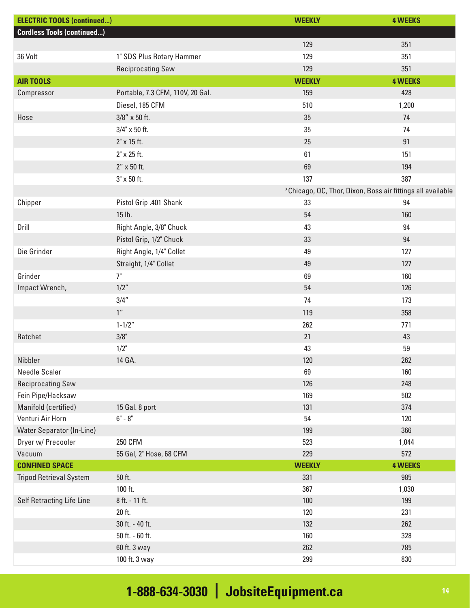| <b>ELECTRIC TOOLS (continued)</b> |                                  | <b>WEEKLY</b> | <b>4 WEEKS</b>                                             |
|-----------------------------------|----------------------------------|---------------|------------------------------------------------------------|
| <b>Cordless Tools (continued)</b> |                                  |               |                                                            |
|                                   |                                  | 129           | 351                                                        |
| 36 Volt                           | 1" SDS Plus Rotary Hammer        | 129           | 351                                                        |
|                                   | <b>Reciprocating Saw</b>         | 129           | 351                                                        |
| <b>AIR TOOLS</b>                  |                                  | <b>WEEKLY</b> | <b>4 WEEKS</b>                                             |
| Compressor                        | Portable, 7.3 CFM, 110V, 20 Gal. | 159           | 428                                                        |
|                                   | Diesel, 185 CFM                  | 510           | 1,200                                                      |
| Hose                              | $3/8''$ x 50 ft.                 | 35            | 74                                                         |
|                                   | 3/4" x 50 ft.                    | 35            | 74                                                         |
|                                   | $2" \times 15$ ft.               | 25            | 91                                                         |
|                                   | $2" \times 25$ ft.               | 61            | 151                                                        |
|                                   | 2" x 50 ft.                      | 69            | 194                                                        |
|                                   | $3" \times 50$ ft.               | 137           | 387                                                        |
|                                   |                                  |               | *Chicago, QC, Thor, Dixon, Boss air fittings all available |
| Chipper                           | Pistol Grip .401 Shank           | 33            | 94                                                         |
|                                   | 15 lb.                           | 54            | 160                                                        |
| Drill                             | Right Angle, 3/8" Chuck          | 43            | 94                                                         |
|                                   | Pistol Grip, 1/2" Chuck          | 33            | 94                                                         |
| Die Grinder                       | Right Angle, 1/4" Collet         | 49            | 127                                                        |
|                                   | Straight, 1/4" Collet            | 49            | 127                                                        |
| Grinder                           | 7"                               | 69            | 160                                                        |
| Impact Wrench,                    | 1/2"                             | 54            | 126                                                        |
|                                   | 3/4''                            | 74            | 173                                                        |
|                                   | 1 <sup>''</sup>                  | 119           | 358                                                        |
|                                   | $1 - 1/2"$                       | 262           | 771                                                        |
| Ratchet                           | 3/8"                             | 21            | 43                                                         |
|                                   | $1/2$ "                          | 43            | 59                                                         |
| Nibbler                           | 14 GA.                           | 120           | 262                                                        |
| Needle Scaler                     |                                  | 69            | 160                                                        |
| <b>Reciprocating Saw</b>          |                                  | 126           | 248                                                        |
| Fein Pipe/Hacksaw                 |                                  | 169           | 502                                                        |
| Manifold (certified)              | 15 Gal. 8 port                   | 131           | 374                                                        |
| Venturi Air Horn                  | $6"$ - $8"$                      | 54            | 120                                                        |
| <b>Water Separator (In-Line)</b>  |                                  | 199           | 366                                                        |
| Dryer w/ Precooler                | <b>250 CFM</b>                   | 523           | 1,044                                                      |
| Vacuum                            | 55 Gal, 2" Hose, 68 CFM          | 229           | 572                                                        |
| <b>CONFINED SPACE</b>             |                                  | <b>WEEKLY</b> | <b>4 WEEKS</b>                                             |
| <b>Tripod Retrieval System</b>    | 50 ft.                           | 331           | 985                                                        |
|                                   | 100 ft.                          | 367           | 1,030                                                      |
| Self Retracting Life Line         | 8 ft. - 11 ft.                   | 100           | 199                                                        |
|                                   | 20 ft.                           | 120           | 231                                                        |
|                                   | 30 ft. - 40 ft.                  | 132           | 262                                                        |
|                                   | 50 ft. - 60 ft.                  | 160           | 328                                                        |
|                                   | 60 ft. 3 way                     | 262           | 785                                                        |
|                                   | 100 ft. 3 way                    | 299           | 830                                                        |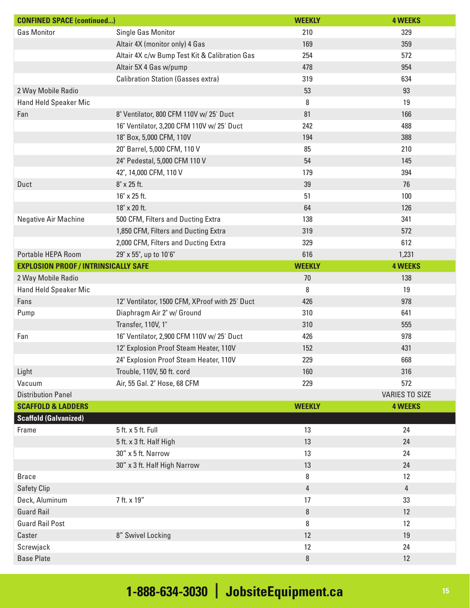| <b>CONFINED SPACE (continued)</b>           |                                                | <b>WEEKLY</b>  | <b>4 WEEKS</b>        |
|---------------------------------------------|------------------------------------------------|----------------|-----------------------|
| <b>Gas Monitor</b>                          | Single Gas Monitor                             | 210            | 329                   |
|                                             | Altair 4X (monitor only) 4 Gas                 | 169            | 359                   |
|                                             | Altair 4X c/w Bump Test Kit & Calibration Gas  | 254            | 572                   |
|                                             | Altair 5X 4 Gas w/pump                         | 478            | 954                   |
|                                             | <b>Calibration Station (Gasses extra)</b>      | 319            | 634                   |
| 2 Way Mobile Radio                          |                                                | 53             | 93                    |
| Hand Held Speaker Mic                       |                                                | 8              | 19                    |
| Fan                                         | 8" Ventilator, 800 CFM 110V w/25' Duct         | 81             | 166                   |
|                                             | 16" Ventilator, 3,200 CFM 110V w/25' Duct      | 242            | 488                   |
|                                             | 18" Box, 5,000 CFM, 110V                       | 194            | 388                   |
|                                             | 20" Barrel, 5,000 CFM, 110 V                   | 85             | 210                   |
|                                             | 24" Pedestal, 5,000 CFM 110 V                  | 54             | 145                   |
|                                             | 42", 14,000 CFM, 110 V                         | 179            | 394                   |
| Duct                                        | 8" x 25 ft.                                    | 39             | 76                    |
|                                             | 16" x 25 ft.                                   | 51             | 100                   |
|                                             | 18" x 20 ft.                                   | 64             | 126                   |
| <b>Negative Air Machine</b>                 | 500 CFM, Filters and Ducting Extra             | 138            | 341                   |
|                                             | 1,850 CFM, Filters and Ducting Extra           | 319            | 572                   |
|                                             | 2,000 CFM, Filters and Ducting Extra           | 329            | 612                   |
| Portable HEPA Room                          | 29" x 55", up to 10'6"                         | 616            | 1,231                 |
| <b>EXPLOSION PROOF / INTRINSICALLY SAFE</b> |                                                | <b>WEEKLY</b>  | <b>4 WEEKS</b>        |
| 2 Way Mobile Radio                          |                                                | 70             | 138                   |
| Hand Held Speaker Mic                       |                                                | 8              | 19                    |
| Fans                                        | 12" Ventilator, 1500 CFM, XProof with 25' Duct | 426            | 978                   |
| Pump                                        | Diaphragm Air 2" w/ Ground                     | 310            | 641                   |
|                                             | Transfer, 110V, 1"                             | 310            | 555                   |
| Fan                                         | 16" Ventilator, 2,900 CFM 110V w/25' Duct      | 426            | 978                   |
|                                             | 12" Explosion Proof Steam Heater, 110V         | 152            | 431                   |
|                                             | 24" Explosion Proof Steam Heater, 110V         | 229            | 668                   |
| Light                                       | Trouble, 110V, 50 ft. cord                     | 160            | 316                   |
| Vacuum                                      | Air, 55 Gal. 2" Hose, 68 CFM                   | 229            | 572                   |
| <b>Distribution Panel</b>                   |                                                |                | <b>VARIES TO SIZE</b> |
| <b>SCAFFOLD &amp; LADDERS</b>               |                                                | <b>WEEKLY</b>  | <b>4 WEEKS</b>        |
| <b>Scaffold (Galvanized)</b>                |                                                |                |                       |
| Frame                                       | 5 ft. x 5 ft. Full                             | 13             | 24                    |
|                                             | 5 ft. x 3 ft. Half High                        | 13             | 24                    |
|                                             | 30" x 5 ft. Narrow                             | 13             | 24                    |
|                                             | 30" x 3 ft. Half High Narrow                   | 13             | 24                    |
| <b>Brace</b>                                |                                                | 8              | 12                    |
| <b>Safety Clip</b>                          |                                                | $\overline{4}$ | $\overline{4}$        |
| Deck, Aluminum                              | 7 ft. x 19"                                    | 17             | 33                    |
| <b>Guard Rail</b>                           |                                                | $\, 8$         | 12                    |
| <b>Guard Rail Post</b>                      |                                                | 8              | 12                    |
| Caster                                      | 8" Swivel Locking                              | 12             | 19                    |
| Screwjack                                   |                                                | 12             | 24                    |
| <b>Base Plate</b>                           |                                                | 8              | 12                    |
|                                             |                                                |                |                       |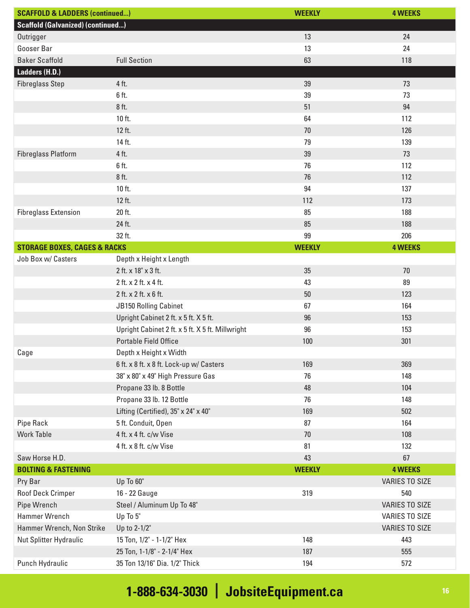| <b>SCAFFOLD &amp; LADDERS (continued)</b> |                                                  | <b>WEEKLY</b> | <b>4 WEEKS</b>        |
|-------------------------------------------|--------------------------------------------------|---------------|-----------------------|
| <b>Scaffold (Galvanized) (continued)</b>  |                                                  |               |                       |
| Outrigger                                 |                                                  | 13            | 24                    |
| Gooser Bar                                |                                                  | 13            | 24                    |
| <b>Baker Scaffold</b>                     | <b>Full Section</b>                              | 63            | 118                   |
| Ladders (H.D.)                            |                                                  |               |                       |
| <b>Fibreglass Step</b>                    | 4 ft.                                            | 39            | 73                    |
|                                           | 6 ft.                                            | 39            | 73                    |
|                                           | 8 ft.                                            | 51            | 94                    |
|                                           | 10 ft.                                           | 64            | 112                   |
|                                           | 12 ft.                                           | 70            | 126                   |
|                                           | 14 ft.                                           | 79            | 139                   |
| <b>Fibreglass Platform</b>                | 4 ft.                                            | 39            | 73                    |
|                                           | 6 ft.                                            | 76            | 112                   |
|                                           | 8 ft.                                            | 76            | 112                   |
|                                           | 10 ft.                                           | 94            | 137                   |
|                                           | 12 ft.                                           | 112           | 173                   |
| <b>Fibreglass Extension</b>               | 20 ft.                                           | 85            | 188                   |
|                                           | 24 ft.                                           | 85            | 188                   |
|                                           | 32 ft.                                           | 99            | 206                   |
| <b>STORAGE BOXES, CAGES &amp; RACKS</b>   |                                                  | <b>WEEKLY</b> | <b>4 WEEKS</b>        |
| Job Box w/ Casters                        | Depth x Height x Length                          |               |                       |
|                                           | 2 ft. x 18" x 3 ft.                              | 35            | 70                    |
|                                           | 2 ft. x 2 ft. x 4 ft.                            | 43            | 89                    |
|                                           | 2 ft. x 2 ft. x 6 ft.                            | 50            | 123                   |
|                                           | <b>JB150 Rolling Cabinet</b>                     | 67            | 164                   |
|                                           | Upright Cabinet 2 ft. x 5 ft. X 5 ft.            | 96            | 153                   |
|                                           | Upright Cabinet 2 ft. x 5 ft. X 5 ft. Millwright | 96            | 153                   |
|                                           | <b>Portable Field Office</b>                     | 100           | 301                   |
| Cage                                      | Depth x Height x Width                           |               |                       |
|                                           | 6 ft. x 8 ft. x 8 ft. Lock-up w/ Casters         | 169           | 369                   |
|                                           | 38" x 80" x 49" High Pressure Gas                | 76            | 148                   |
|                                           | Propane 33 lb. 8 Bottle                          | 48            | 104                   |
|                                           | Propane 33 lb. 12 Bottle                         | 76            | 148                   |
|                                           | Lifting (Certified), 35" x 24" x 40"             | 169           | 502                   |
| <b>Pipe Rack</b>                          | 5 ft. Conduit, Open                              | 87            | 164                   |
| <b>Work Table</b>                         | 4 ft. x 4 ft. c/w Vise                           | 70            | 108                   |
|                                           | 4 ft. x 8 ft. c/w Vise                           | 81            | 132                   |
| Saw Horse H.D.                            |                                                  | 43            | 67                    |
| <b>BOLTING &amp; FASTENING</b>            |                                                  | <b>WEEKLY</b> | <b>4 WEEKS</b>        |
| Pry Bar                                   | Up To 60"                                        |               | <b>VARIES TO SIZE</b> |
| Roof Deck Crimper                         | 16 - 22 Gauge                                    | 319           | 540                   |
| Pipe Wrench                               | Steel / Aluminum Up To 48"                       |               | <b>VARIES TO SIZE</b> |
| Hammer Wrench                             | Up To 5"                                         |               | <b>VARIES TO SIZE</b> |
| Hammer Wrench, Non Strike                 | Up to 2-1/2"                                     |               | VARIES TO SIZE        |
| Nut Splitter Hydraulic                    | 15 Ton, 1/2" - 1-1/2" Hex                        | 148           | 443                   |
|                                           | 25 Ton, 1-1/8" - 2-1/4" Hex                      | 187           | 555                   |
| Punch Hydraulic                           | 35 Ton 13/16" Dia. 1/2" Thick                    | 194           | 572                   |